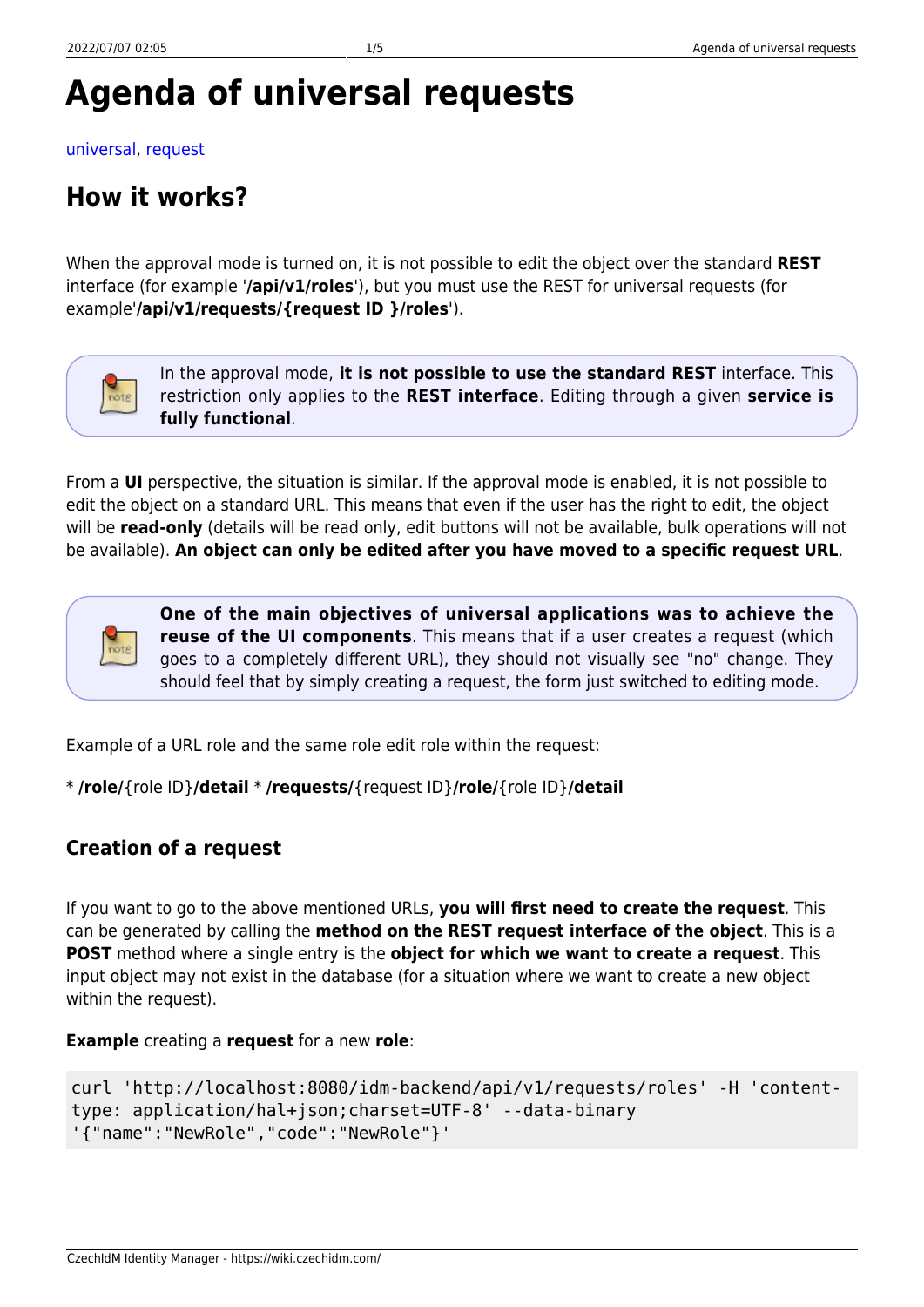[universal,](https://wiki.czechidm.com/tag/universal?do=showtag&tag=universal) [request](https://wiki.czechidm.com/tag/request?do=showtag&tag=request)

### **How it works?**

When the approval mode is turned on, it is not possible to edit the object over the standard **REST** interface (for example '**/api/v1/roles**'), but you must use the REST for universal requests (for example'**/api/v1/requests/{request ID }/roles**').



In the approval mode, **it is not possible to use the standard REST** interface. This restriction only applies to the **REST interface**. Editing through a given **service is fully functional**.

From a **UI** perspective, the situation is similar. If the approval mode is enabled, it is not possible to edit the object on a standard URL. This means that even if the user has the right to edit, the object will be **read-only** (details will be read only, edit buttons will not be available, bulk operations will not be available). **An object can only be edited after you have moved to a specific request URL**.



**One of the main objectives of universal applications was to achieve the reuse of the UI components**. This means that if a user creates a request (which goes to a completely different URL), they should not visually see "no" change. They should feel that by simply creating a request, the form just switched to editing mode.

Example of a URL role and the same role edit role within the request:

```
* /role/{role ID}/detail * /requests/{request ID}/role/{role ID}/detail
```
### **Creation of a request**

If you want to go to the above mentioned URLs, **you will first need to create the request**. This can be generated by calling the **method on the REST request interface of the object**. This is a **POST** method where a single entry is the **object for which we want to create a request**. This input object may not exist in the database (for a situation where we want to create a new object within the request).

#### **Example** creating a **request** for a new **role**:

```
curl 'http://localhost:8080/idm-backend/api/v1/requests/roles' -H 'content-
type: application/hal+json;charset=UTF-8' --data-binary
'{"name":"NewRole","code":"NewRole"}'
```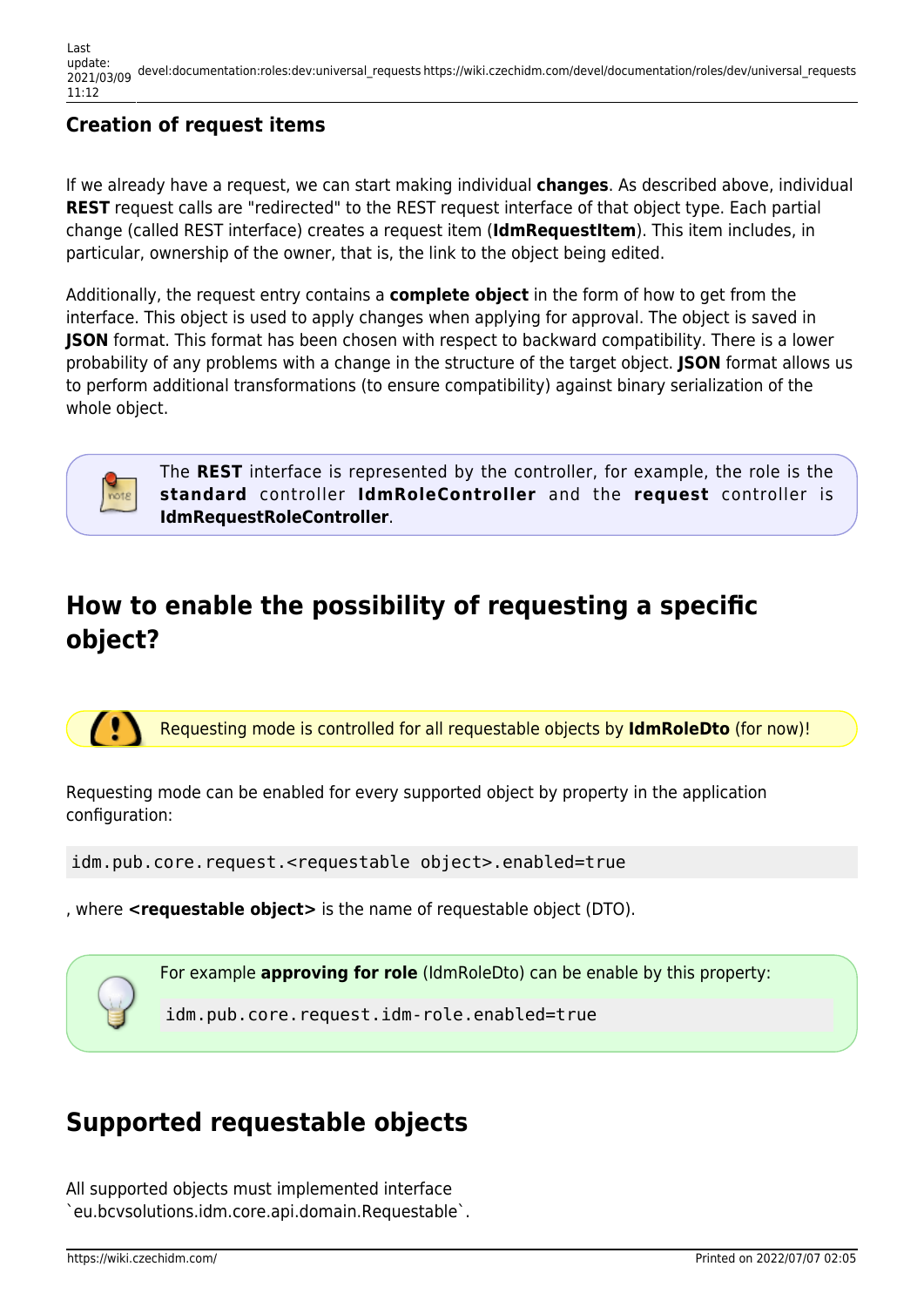### **Creation of request items**

If we already have a request, we can start making individual **changes**. As described above, individual **REST** request calls are "redirected" to the REST request interface of that object type. Each partial change (called REST interface) creates a request item (**IdmRequestItem**). This item includes, in particular, ownership of the owner, that is, the link to the object being edited.

Additionally, the request entry contains a **complete object** in the form of how to get from the interface. This object is used to apply changes when applying for approval. The object is saved in **JSON** format. This format has been chosen with respect to backward compatibility. There is a lower probability of any problems with a change in the structure of the target object. **JSON** format allows us to perform additional transformations (to ensure compatibility) against binary serialization of the whole object.



The **REST** interface is represented by the controller, for example, the role is the **standard** controller **IdmRoleController** and the **request** controller is **IdmRequestRoleController**.

# **How to enable the possibility of requesting a specific object?**

70 Requesting mode is controlled for all requestable objects by **IdmRoleDto** (for now)!

Requesting mode can be enabled for every supported object by property in the application configuration:

idm.pub.core.request.<requestable object>.enabled=true

, where **<requestable object>** is the name of requestable object (DTO).

For example **approving for role** (IdmRoleDto) can be enable by this property:

idm.pub.core.request.idm-role.enabled=true

# **Supported requestable objects**

All supported objects must implemented interface `eu.bcvsolutions.idm.core.api.domain.Requestable`.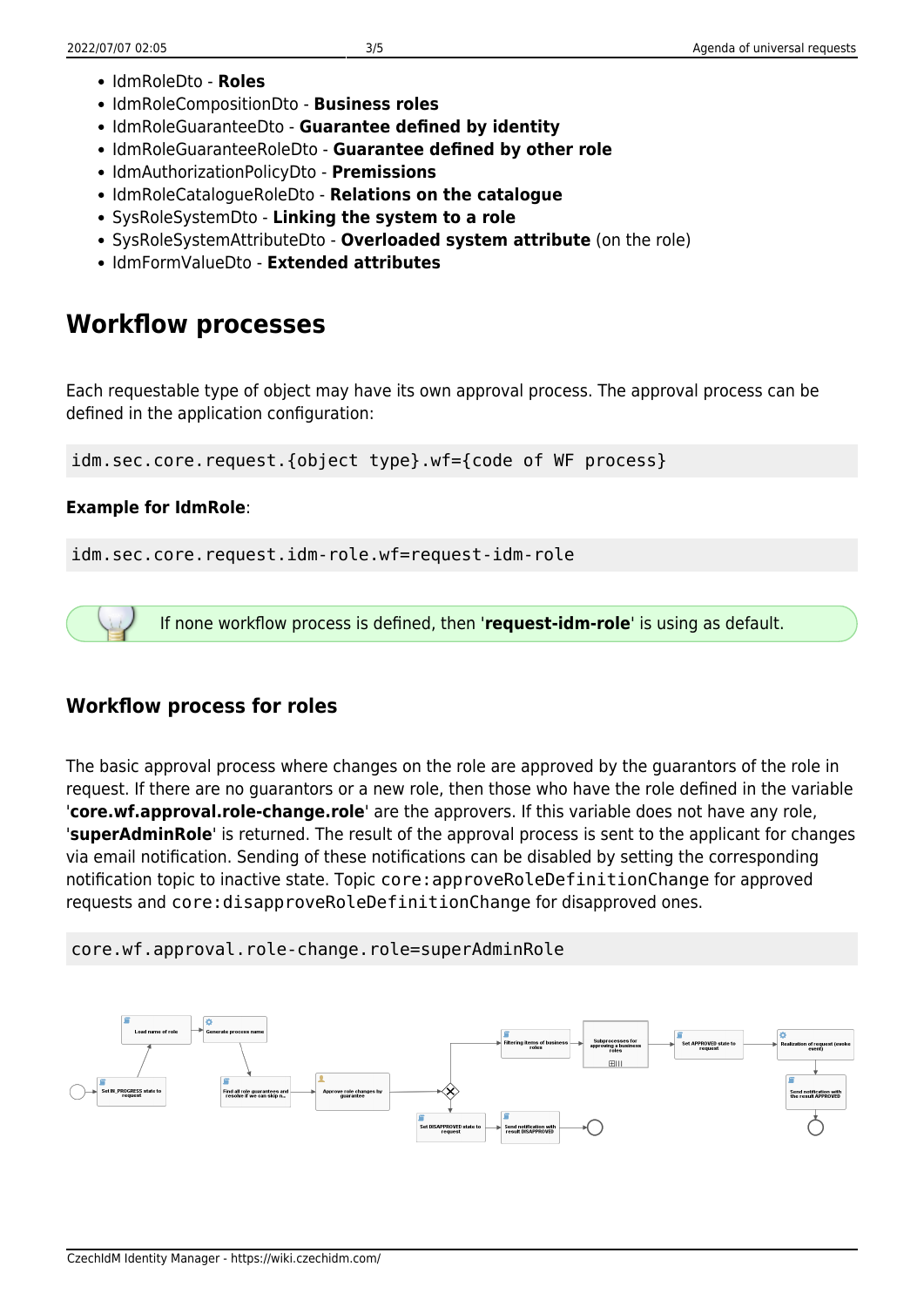- IdmRoleDto **Roles**
- IdmRoleCompositionDto **Business roles**
- IdmRoleGuaranteeDto **Guarantee defined by identity**
- IdmRoleGuaranteeRoleDto **Guarantee defined by other role**
- IdmAuthorizationPolicyDto **Premissions**
- IdmRoleCatalogueRoleDto **Relations on the catalogue**
- SysRoleSystemDto **Linking the system to a role**
- SysRoleSystemAttributeDto **Overloaded system attribute** (on the role)
- IdmFormValueDto **Extended attributes**

## **Workflow processes**

Each requestable type of object may have its own approval process. The approval process can be defined in the application configuration:

idm.sec.core.request.{object type}.wf={code of WF process}

#### **Example for IdmRole**:

idm.sec.core.request.idm-role.wf=request-idm-role

If none workflow process is defined, then '**request-idm-role**' is using as default.

### **Workflow process for roles**

The basic approval process where changes on the role are approved by the guarantors of the role in request. If there are no guarantors or a new role, then those who have the role defined in the variable '**core.wf.approval.role-change.role**' are the approvers. If this variable does not have any role, '**superAdminRole**' is returned. The result of the approval process is sent to the applicant for changes via email notification. Sending of these notifications can be disabled by setting the corresponding notification topic to inactive state. Topic core:approveRoleDefinitionChange for approved requests and core:disapproveRoleDefinitionChange for disapproved ones.

#### core.wf.approval.role-change.role=superAdminRole

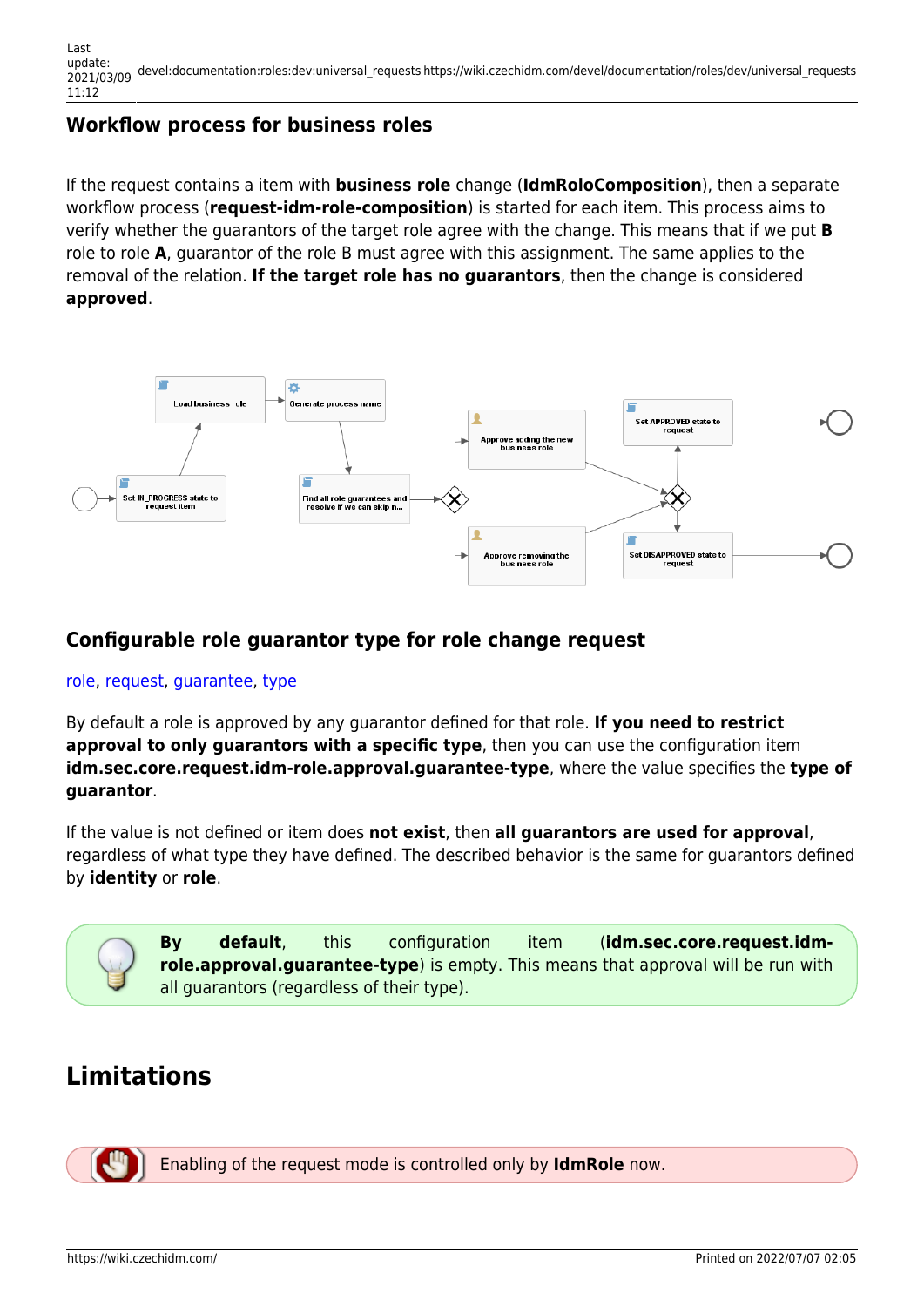#### **Workflow process for business roles**

If the request contains a item with **business role** change (**IdmRoloComposition**), then a separate workflow process (**request-idm-role-composition**) is started for each item. This process aims to verify whether the guarantors of the target role agree with the change. This means that if we put **B** role to role **A**, guarantor of the role B must agree with this assignment. The same applies to the removal of the relation. **If the target role has no guarantors**, then the change is considered **approved**.



#### **Configurable role guarantor type for role change request**

#### [role](https://wiki.czechidm.com/tag/role?do=showtag&tag=role), [request,](https://wiki.czechidm.com/tag/request?do=showtag&tag=request) [guarantee](https://wiki.czechidm.com/tag/guarantee?do=showtag&tag=guarantee), [type](https://wiki.czechidm.com/tag/type?do=showtag&tag=type)

By default a role is approved by any guarantor defined for that role. **If you need to restrict approval to only guarantors with a specific type**, then you can use the configuration item **idm.sec.core.request.idm-role.approval.guarantee-type**, where the value specifies the **type of guarantor**.

If the value is not defined or item does **not exist**, then **all guarantors are used for approval**, regardless of what type they have defined. The described behavior is the same for guarantors defined by **identity** or **role**.



### **Limitations**



Enabling of the request mode is controlled only by **IdmRole** now.